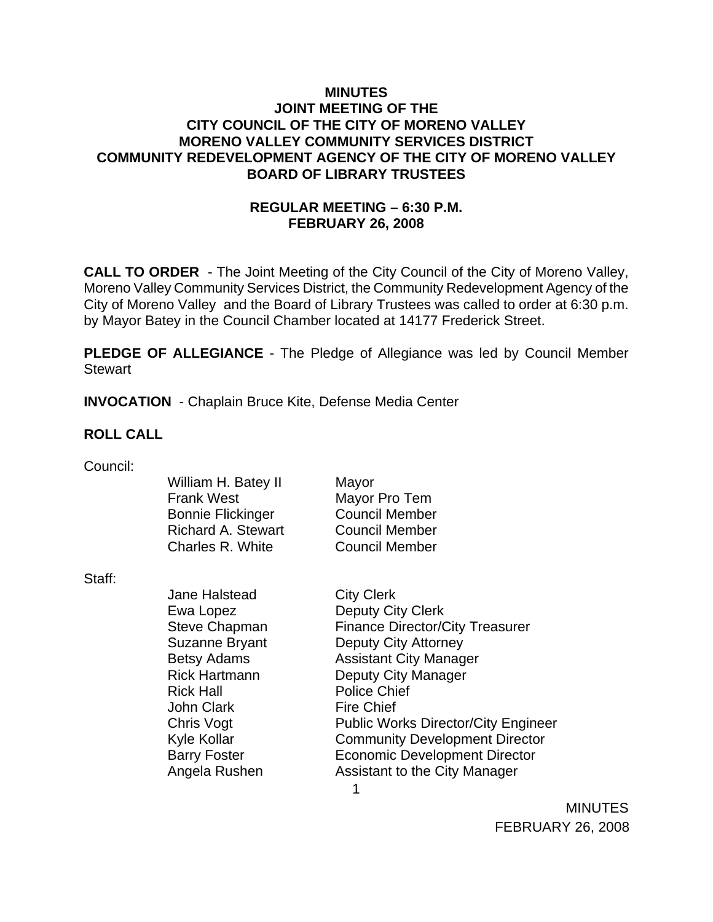### **MINUTES JOINT MEETING OF THE CITY COUNCIL OF THE CITY OF MORENO VALLEY MORENO VALLEY COMMUNITY SERVICES DISTRICT COMMUNITY REDEVELOPMENT AGENCY OF THE CITY OF MORENO VALLEY BOARD OF LIBRARY TRUSTEES**

## **REGULAR MEETING – 6:30 P.M. FEBRUARY 26, 2008**

**CALL TO ORDER** - The Joint Meeting of the City Council of the City of Moreno Valley, Moreno Valley Community Services District, the Community Redevelopment Agency of the City of Moreno Valley and the Board of Library Trustees was called to order at 6:30 p.m. by Mayor Batey in the Council Chamber located at 14177 Frederick Street.

**PLEDGE OF ALLEGIANCE** - The Pledge of Allegiance was led by Council Member Stewart

**INVOCATION** - Chaplain Bruce Kite, Defense Media Center

### **ROLL CALL**

| Council: |  |
|----------|--|
|          |  |
|          |  |

|        | William H. Batey II<br><b>Frank West</b><br><b>Bonnie Flickinger</b> | Mayor<br>Mayor Pro Tem<br><b>Council Member</b> |
|--------|----------------------------------------------------------------------|-------------------------------------------------|
|        | <b>Richard A. Stewart</b>                                            | <b>Council Member</b>                           |
|        | Charles R. White                                                     | <b>Council Member</b>                           |
| Staff: |                                                                      |                                                 |
|        | <b>Jane Halstead</b>                                                 | <b>City Clerk</b>                               |
|        | Ewa Lopez                                                            | Deputy City Clerk                               |
|        | <b>Steve Chapman</b>                                                 | <b>Finance Director/City Treasurer</b>          |
|        | Suzanne Bryant                                                       | Deputy City Attorney                            |
|        | <b>Betsy Adams</b>                                                   | <b>Assistant City Manager</b>                   |
|        | <b>Rick Hartmann</b>                                                 | Deputy City Manager                             |
|        | <b>Rick Hall</b>                                                     | <b>Police Chief</b>                             |
|        | <b>John Clark</b>                                                    | <b>Fire Chief</b>                               |
|        | Chris Vogt                                                           | <b>Public Works Director/City Engineer</b>      |
|        | <b>Kyle Kollar</b>                                                   | <b>Community Development Director</b>           |
|        | <b>Barry Foster</b>                                                  | <b>Economic Development Director</b>            |
|        | Angela Rushen                                                        | Assistant to the City Manager                   |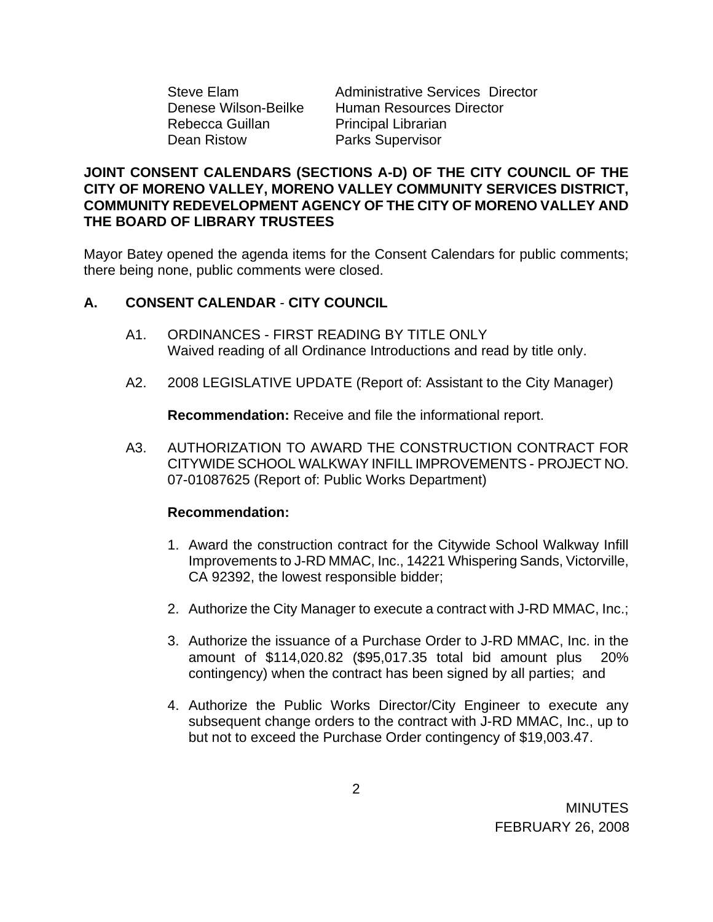Rebecca Guillan Principal Librarian Dean Ristow Parks Supervisor

Steve Elam Administrative Services Director Denese Wilson-Beilke Human Resources Director

### **JOINT CONSENT CALENDARS (SECTIONS A-D) OF THE CITY COUNCIL OF THE CITY OF MORENO VALLEY, MORENO VALLEY COMMUNITY SERVICES DISTRICT, COMMUNITY REDEVELOPMENT AGENCY OF THE CITY OF MORENO VALLEY AND THE BOARD OF LIBRARY TRUSTEES**

Mayor Batey opened the agenda items for the Consent Calendars for public comments; there being none, public comments were closed.

## **A. CONSENT CALENDAR** - **CITY COUNCIL**

- A1. ORDINANCES FIRST READING BY TITLE ONLY Waived reading of all Ordinance Introductions and read by title only.
- A2. 2008 LEGISLATIVE UPDATE (Report of: Assistant to the City Manager)

**Recommendation:** Receive and file the informational report.

A3. AUTHORIZATION TO AWARD THE CONSTRUCTION CONTRACT FOR CITYWIDE SCHOOL WALKWAY INFILL IMPROVEMENTS - PROJECT NO. 07-01087625 (Report of: Public Works Department)

- 1. Award the construction contract for the Citywide School Walkway Infill Improvements to J-RD MMAC, Inc., 14221 Whispering Sands, Victorville, CA 92392, the lowest responsible bidder;
- 2. Authorize the City Manager to execute a contract with J-RD MMAC, Inc.;
- 3. Authorize the issuance of a Purchase Order to J-RD MMAC, Inc. in the amount of \$114,020.82 (\$95,017.35 total bid amount plus 20% contingency) when the contract has been signed by all parties; and
- 4. Authorize the Public Works Director/City Engineer to execute any subsequent change orders to the contract with J-RD MMAC, Inc., up to but not to exceed the Purchase Order contingency of \$19,003.47.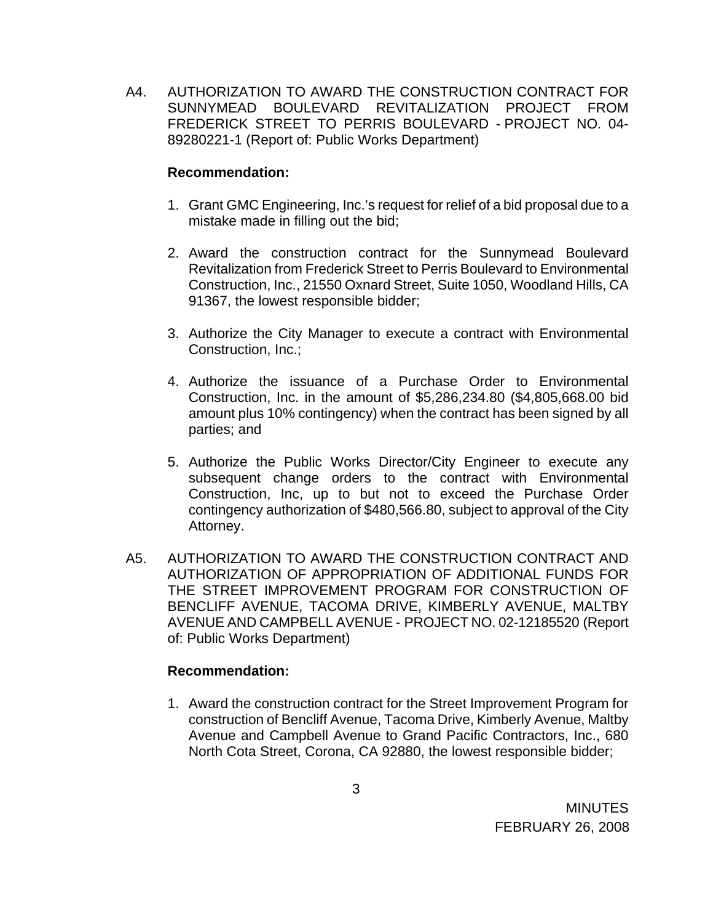A4. AUTHORIZATION TO AWARD THE CONSTRUCTION CONTRACT FOR SUNNYMEAD BOULEVARD REVITALIZATION PROJECT FROM FREDERICK STREET TO PERRIS BOULEVARD - PROJECT NO. 04- 89280221-1 (Report of: Public Works Department)

### **Recommendation:**

- 1. Grant GMC Engineering, Inc.'s request for relief of a bid proposal due to a mistake made in filling out the bid;
- 2. Award the construction contract for the Sunnymead Boulevard Revitalization from Frederick Street to Perris Boulevard to Environmental Construction, Inc., 21550 Oxnard Street, Suite 1050, Woodland Hills, CA 91367, the lowest responsible bidder;
- 3. Authorize the City Manager to execute a contract with Environmental Construction, Inc.;
- 4. Authorize the issuance of a Purchase Order to Environmental Construction, Inc. in the amount of \$5,286,234.80 (\$4,805,668.00 bid amount plus 10% contingency) when the contract has been signed by all parties; and
- 5. Authorize the Public Works Director/City Engineer to execute any subsequent change orders to the contract with Environmental Construction, Inc, up to but not to exceed the Purchase Order contingency authorization of \$480,566.80, subject to approval of the City Attorney.
- A5. AUTHORIZATION TO AWARD THE CONSTRUCTION CONTRACT AND AUTHORIZATION OF APPROPRIATION OF ADDITIONAL FUNDS FOR THE STREET IMPROVEMENT PROGRAM FOR CONSTRUCTION OF BENCLIFF AVENUE, TACOMA DRIVE, KIMBERLY AVENUE, MALTBY AVENUE AND CAMPBELL AVENUE - PROJECT NO. 02-12185520 (Report of: Public Works Department)

## **Recommendation:**

1. Award the construction contract for the Street Improvement Program for construction of Bencliff Avenue, Tacoma Drive, Kimberly Avenue, Maltby Avenue and Campbell Avenue to Grand Pacific Contractors, Inc., 680 North Cota Street, Corona, CA 92880, the lowest responsible bidder;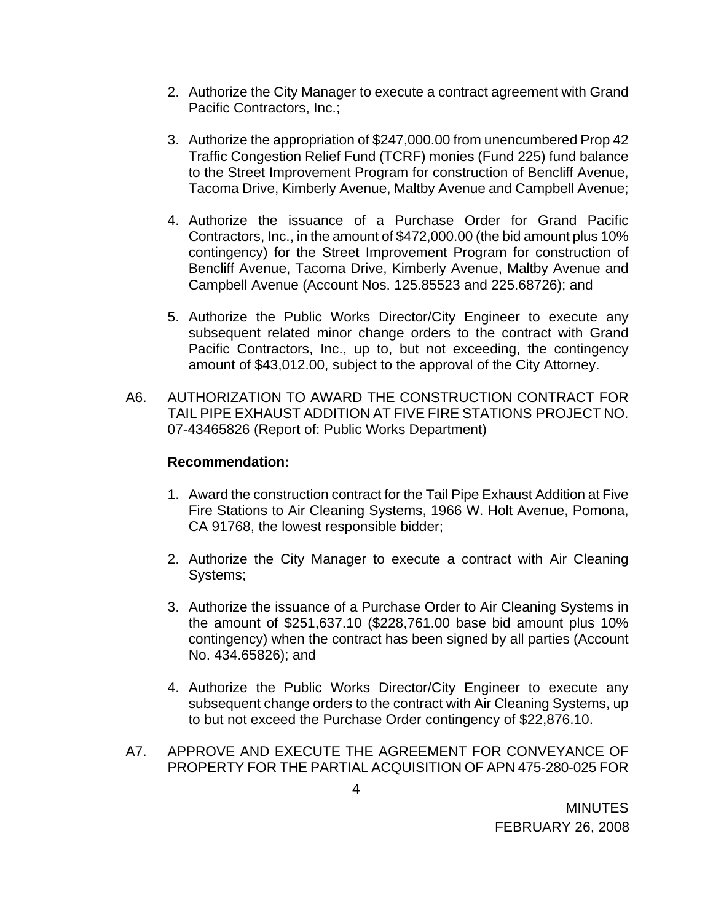- 2. Authorize the City Manager to execute a contract agreement with Grand Pacific Contractors, Inc.;
- 3. Authorize the appropriation of \$247,000.00 from unencumbered Prop 42 Traffic Congestion Relief Fund (TCRF) monies (Fund 225) fund balance to the Street Improvement Program for construction of Bencliff Avenue, Tacoma Drive, Kimberly Avenue, Maltby Avenue and Campbell Avenue;
- 4. Authorize the issuance of a Purchase Order for Grand Pacific Contractors, Inc., in the amount of \$472,000.00 (the bid amount plus 10% contingency) for the Street Improvement Program for construction of Bencliff Avenue, Tacoma Drive, Kimberly Avenue, Maltby Avenue and Campbell Avenue (Account Nos. 125.85523 and 225.68726); and
- 5. Authorize the Public Works Director/City Engineer to execute any subsequent related minor change orders to the contract with Grand Pacific Contractors, Inc., up to, but not exceeding, the contingency amount of \$43,012.00, subject to the approval of the City Attorney.
- A6. AUTHORIZATION TO AWARD THE CONSTRUCTION CONTRACT FOR TAIL PIPE EXHAUST ADDITION AT FIVE FIRE STATIONS PROJECT NO. 07-43465826 (Report of: Public Works Department)

- 1. Award the construction contract for the Tail Pipe Exhaust Addition at Five Fire Stations to Air Cleaning Systems, 1966 W. Holt Avenue, Pomona, CA 91768, the lowest responsible bidder;
- 2. Authorize the City Manager to execute a contract with Air Cleaning Systems;
- 3. Authorize the issuance of a Purchase Order to Air Cleaning Systems in the amount of \$251,637.10 (\$228,761.00 base bid amount plus 10% contingency) when the contract has been signed by all parties (Account No. 434.65826); and
- 4. Authorize the Public Works Director/City Engineer to execute any subsequent change orders to the contract with Air Cleaning Systems, up to but not exceed the Purchase Order contingency of \$22,876.10.
- A7. APPROVE AND EXECUTE THE AGREEMENT FOR CONVEYANCE OF PROPERTY FOR THE PARTIAL ACQUISITION OF APN 475-280-025 FOR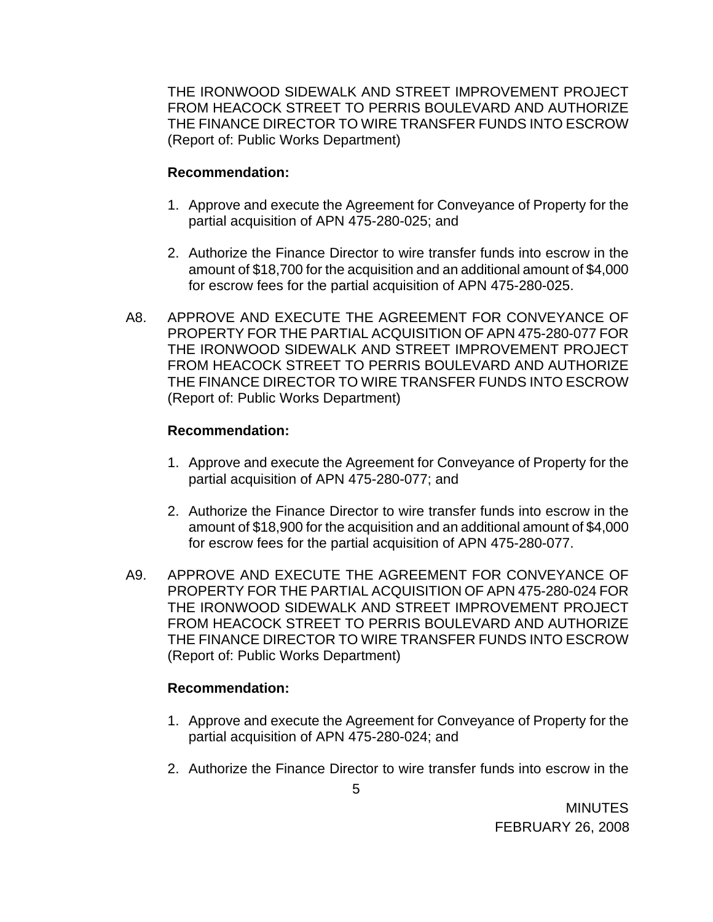THE IRONWOOD SIDEWALK AND STREET IMPROVEMENT PROJECT FROM HEACOCK STREET TO PERRIS BOULEVARD AND AUTHORIZE THE FINANCE DIRECTOR TO WIRE TRANSFER FUNDS INTO ESCROW (Report of: Public Works Department)

### **Recommendation:**

- 1. Approve and execute the Agreement for Conveyance of Property for the partial acquisition of APN 475-280-025; and
- 2. Authorize the Finance Director to wire transfer funds into escrow in the amount of \$18,700 for the acquisition and an additional amount of \$4,000 for escrow fees for the partial acquisition of APN 475-280-025.
- A8. APPROVE AND EXECUTE THE AGREEMENT FOR CONVEYANCE OF PROPERTY FOR THE PARTIAL ACQUISITION OF APN 475-280-077 FOR THE IRONWOOD SIDEWALK AND STREET IMPROVEMENT PROJECT FROM HEACOCK STREET TO PERRIS BOULEVARD AND AUTHORIZE THE FINANCE DIRECTOR TO WIRE TRANSFER FUNDS INTO ESCROW (Report of: Public Works Department)

### **Recommendation:**

- 1. Approve and execute the Agreement for Conveyance of Property for the partial acquisition of APN 475-280-077; and
- 2. Authorize the Finance Director to wire transfer funds into escrow in the amount of \$18,900 for the acquisition and an additional amount of \$4,000 for escrow fees for the partial acquisition of APN 475-280-077.
- A9. APPROVE AND EXECUTE THE AGREEMENT FOR CONVEYANCE OF PROPERTY FOR THE PARTIAL ACQUISITION OF APN 475-280-024 FOR THE IRONWOOD SIDEWALK AND STREET IMPROVEMENT PROJECT FROM HEACOCK STREET TO PERRIS BOULEVARD AND AUTHORIZE THE FINANCE DIRECTOR TO WIRE TRANSFER FUNDS INTO ESCROW (Report of: Public Works Department)

- 1. Approve and execute the Agreement for Conveyance of Property for the partial acquisition of APN 475-280-024; and
- 2. Authorize the Finance Director to wire transfer funds into escrow in the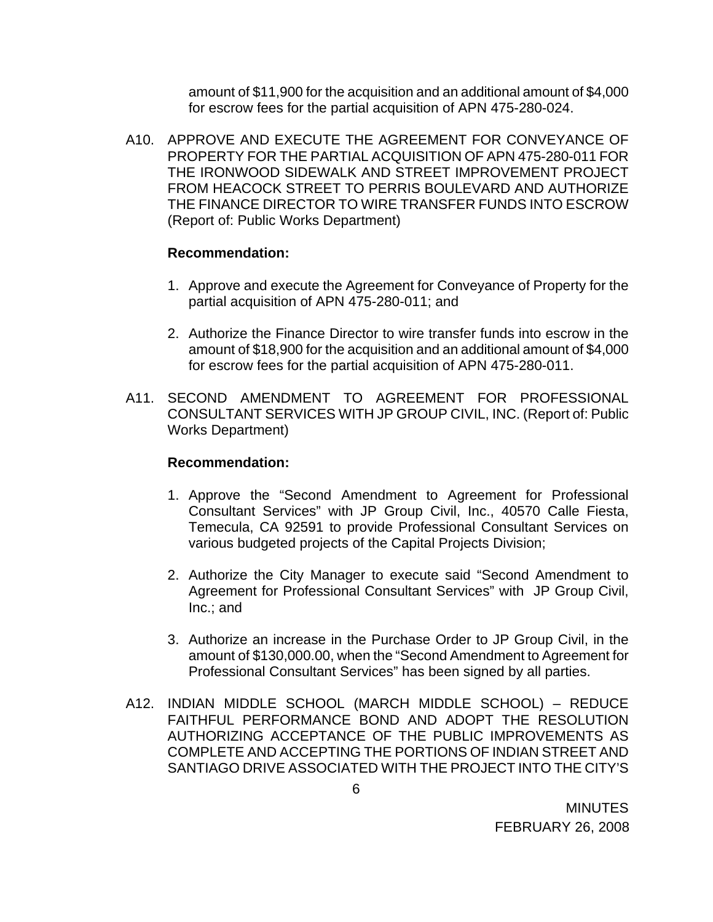amount of \$11,900 for the acquisition and an additional amount of \$4,000 for escrow fees for the partial acquisition of APN 475-280-024.

A10. APPROVE AND EXECUTE THE AGREEMENT FOR CONVEYANCE OF PROPERTY FOR THE PARTIAL ACQUISITION OF APN 475-280-011 FOR THE IRONWOOD SIDEWALK AND STREET IMPROVEMENT PROJECT FROM HEACOCK STREET TO PERRIS BOULEVARD AND AUTHORIZE THE FINANCE DIRECTOR TO WIRE TRANSFER FUNDS INTO ESCROW (Report of: Public Works Department)

#### **Recommendation:**

- 1. Approve and execute the Agreement for Conveyance of Property for the partial acquisition of APN 475-280-011; and
- 2. Authorize the Finance Director to wire transfer funds into escrow in the amount of \$18,900 for the acquisition and an additional amount of \$4,000 for escrow fees for the partial acquisition of APN 475-280-011.
- A11. SECOND AMENDMENT TO AGREEMENT FOR PROFESSIONAL CONSULTANT SERVICES WITH JP GROUP CIVIL, INC. (Report of: Public Works Department)

#### **Recommendation:**

- 1. Approve the "Second Amendment to Agreement for Professional Consultant Services" with JP Group Civil, Inc., 40570 Calle Fiesta, Temecula, CA 92591 to provide Professional Consultant Services on various budgeted projects of the Capital Projects Division;
- 2. Authorize the City Manager to execute said "Second Amendment to Agreement for Professional Consultant Services" with JP Group Civil, Inc.; and
- 3. Authorize an increase in the Purchase Order to JP Group Civil, in the amount of \$130,000.00, when the "Second Amendment to Agreement for Professional Consultant Services" has been signed by all parties.
- A12. INDIAN MIDDLE SCHOOL (MARCH MIDDLE SCHOOL) REDUCE FAITHFUL PERFORMANCE BOND AND ADOPT THE RESOLUTION AUTHORIZING ACCEPTANCE OF THE PUBLIC IMPROVEMENTS AS COMPLETE AND ACCEPTING THE PORTIONS OF INDIAN STREET AND SANTIAGO DRIVE ASSOCIATED WITH THE PROJECT INTO THE CITY'S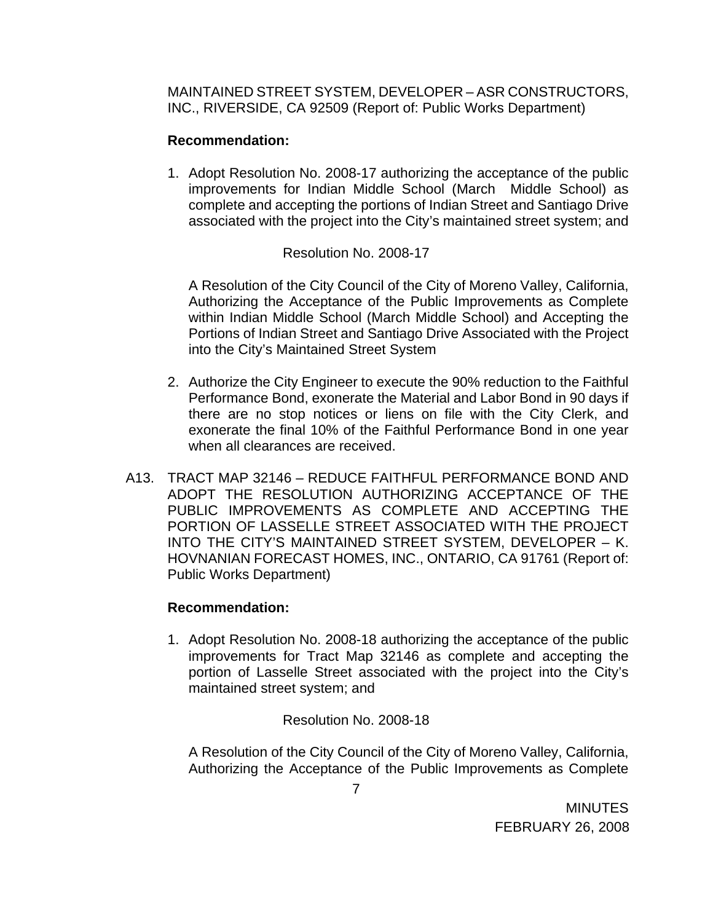MAINTAINED STREET SYSTEM, DEVELOPER – ASR CONSTRUCTORS, INC., RIVERSIDE, CA 92509 (Report of: Public Works Department)

### **Recommendation:**

1. Adopt Resolution No. 2008-17 authorizing the acceptance of the public improvements for Indian Middle School (March Middle School) as complete and accepting the portions of Indian Street and Santiago Drive associated with the project into the City's maintained street system; and

### Resolution No. 2008-17

A Resolution of the City Council of the City of Moreno Valley, California, Authorizing the Acceptance of the Public Improvements as Complete within Indian Middle School (March Middle School) and Accepting the Portions of Indian Street and Santiago Drive Associated with the Project into the City's Maintained Street System

- 2. Authorize the City Engineer to execute the 90% reduction to the Faithful Performance Bond, exonerate the Material and Labor Bond in 90 days if there are no stop notices or liens on file with the City Clerk, and exonerate the final 10% of the Faithful Performance Bond in one year when all clearances are received.
- A13. TRACT MAP 32146 REDUCE FAITHFUL PERFORMANCE BOND AND ADOPT THE RESOLUTION AUTHORIZING ACCEPTANCE OF THE PUBLIC IMPROVEMENTS AS COMPLETE AND ACCEPTING THE PORTION OF LASSELLE STREET ASSOCIATED WITH THE PROJECT INTO THE CITY'S MAINTAINED STREET SYSTEM, DEVELOPER – K. HOVNANIAN FORECAST HOMES, INC., ONTARIO, CA 91761 (Report of: Public Works Department)

### **Recommendation:**

1. Adopt Resolution No. 2008-18 authorizing the acceptance of the public improvements for Tract Map 32146 as complete and accepting the portion of Lasselle Street associated with the project into the City's maintained street system; and

Resolution No. 2008-18

A Resolution of the City Council of the City of Moreno Valley, California, Authorizing the Acceptance of the Public Improvements as Complete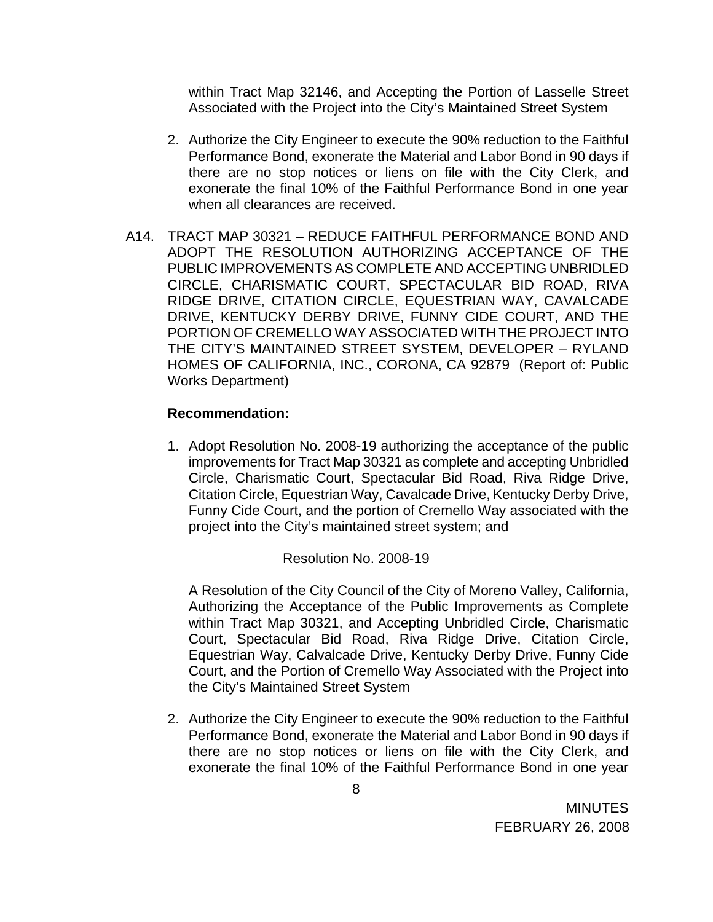within Tract Map 32146, and Accepting the Portion of Lasselle Street Associated with the Project into the City's Maintained Street System

- 2. Authorize the City Engineer to execute the 90% reduction to the Faithful Performance Bond, exonerate the Material and Labor Bond in 90 days if there are no stop notices or liens on file with the City Clerk, and exonerate the final 10% of the Faithful Performance Bond in one year when all clearances are received.
- A14. TRACT MAP 30321 REDUCE FAITHFUL PERFORMANCE BOND AND ADOPT THE RESOLUTION AUTHORIZING ACCEPTANCE OF THE PUBLIC IMPROVEMENTS AS COMPLETE AND ACCEPTING UNBRIDLED CIRCLE, CHARISMATIC COURT, SPECTACULAR BID ROAD, RIVA RIDGE DRIVE, CITATION CIRCLE, EQUESTRIAN WAY, CAVALCADE DRIVE, KENTUCKY DERBY DRIVE, FUNNY CIDE COURT, AND THE PORTION OF CREMELLO WAY ASSOCIATED WITH THE PROJECT INTO THE CITY'S MAINTAINED STREET SYSTEM, DEVELOPER – RYLAND HOMES OF CALIFORNIA, INC., CORONA, CA 92879 (Report of: Public Works Department)

### **Recommendation:**

1. Adopt Resolution No. 2008-19 authorizing the acceptance of the public improvements for Tract Map 30321 as complete and accepting Unbridled Circle, Charismatic Court, Spectacular Bid Road, Riva Ridge Drive, Citation Circle, Equestrian Way, Cavalcade Drive, Kentucky Derby Drive, Funny Cide Court, and the portion of Cremello Way associated with the project into the City's maintained street system; and

### Resolution No. 2008-19

 A Resolution of the City Council of the City of Moreno Valley, California, Authorizing the Acceptance of the Public Improvements as Complete within Tract Map 30321, and Accepting Unbridled Circle, Charismatic Court, Spectacular Bid Road, Riva Ridge Drive, Citation Circle, Equestrian Way, Calvalcade Drive, Kentucky Derby Drive, Funny Cide Court, and the Portion of Cremello Way Associated with the Project into the City's Maintained Street System

2. Authorize the City Engineer to execute the 90% reduction to the Faithful Performance Bond, exonerate the Material and Labor Bond in 90 days if there are no stop notices or liens on file with the City Clerk, and exonerate the final 10% of the Faithful Performance Bond in one year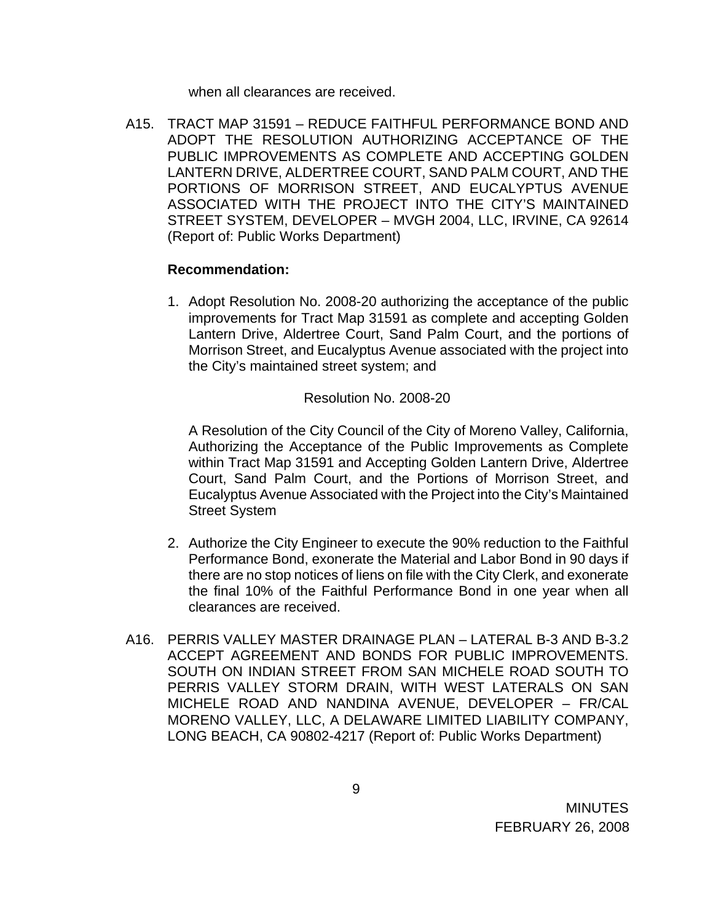when all clearances are received.

A15. TRACT MAP 31591 – REDUCE FAITHFUL PERFORMANCE BOND AND ADOPT THE RESOLUTION AUTHORIZING ACCEPTANCE OF THE PUBLIC IMPROVEMENTS AS COMPLETE AND ACCEPTING GOLDEN LANTERN DRIVE, ALDERTREE COURT, SAND PALM COURT, AND THE PORTIONS OF MORRISON STREET, AND EUCALYPTUS AVENUE ASSOCIATED WITH THE PROJECT INTO THE CITY'S MAINTAINED STREET SYSTEM, DEVELOPER – MVGH 2004, LLC, IRVINE, CA 92614 (Report of: Public Works Department)

#### **Recommendation:**

1. Adopt Resolution No. 2008-20 authorizing the acceptance of the public improvements for Tract Map 31591 as complete and accepting Golden Lantern Drive, Aldertree Court, Sand Palm Court, and the portions of Morrison Street, and Eucalyptus Avenue associated with the project into the City's maintained street system; and

Resolution No. 2008-20

A Resolution of the City Council of the City of Moreno Valley, California, Authorizing the Acceptance of the Public Improvements as Complete within Tract Map 31591 and Accepting Golden Lantern Drive, Aldertree Court, Sand Palm Court, and the Portions of Morrison Street, and Eucalyptus Avenue Associated with the Project into the City's Maintained Street System

- 2. Authorize the City Engineer to execute the 90% reduction to the Faithful Performance Bond, exonerate the Material and Labor Bond in 90 days if there are no stop notices of liens on file with the City Clerk, and exonerate the final 10% of the Faithful Performance Bond in one year when all clearances are received.
- A16. PERRIS VALLEY MASTER DRAINAGE PLAN LATERAL B-3 AND B-3.2 ACCEPT AGREEMENT AND BONDS FOR PUBLIC IMPROVEMENTS. SOUTH ON INDIAN STREET FROM SAN MICHELE ROAD SOUTH TO PERRIS VALLEY STORM DRAIN, WITH WEST LATERALS ON SAN MICHELE ROAD AND NANDINA AVENUE, DEVELOPER – FR/CAL MORENO VALLEY, LLC, A DELAWARE LIMITED LIABILITY COMPANY, LONG BEACH, CA 90802-4217 (Report of: Public Works Department)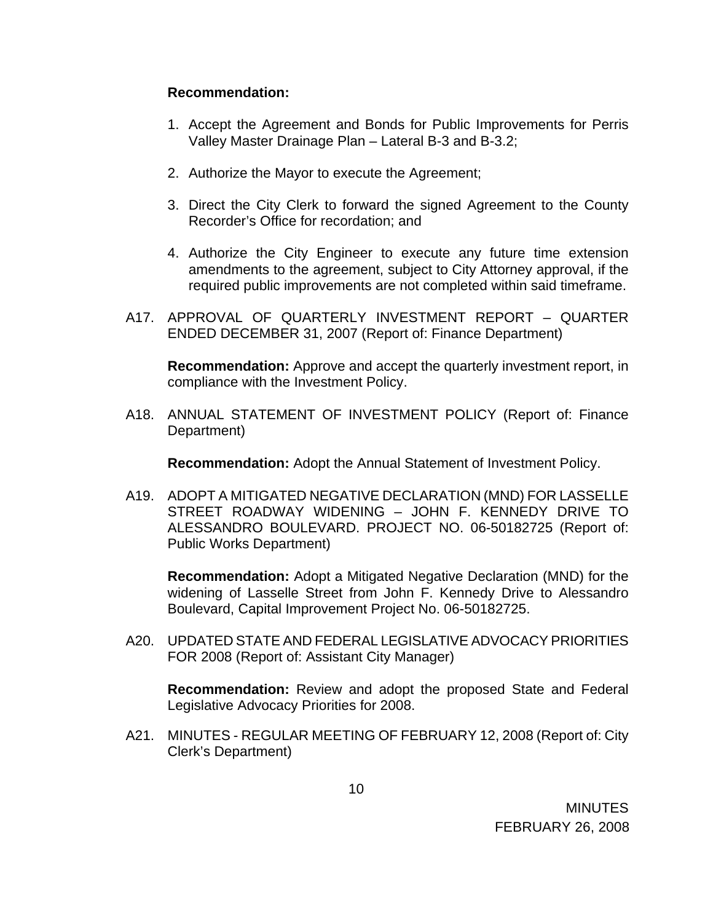### **Recommendation:**

- 1. Accept the Agreement and Bonds for Public Improvements for Perris Valley Master Drainage Plan – Lateral B-3 and B-3.2;
- 2. Authorize the Mayor to execute the Agreement;
- 3. Direct the City Clerk to forward the signed Agreement to the County Recorder's Office for recordation; and
- 4. Authorize the City Engineer to execute any future time extension amendments to the agreement, subject to City Attorney approval, if the required public improvements are not completed within said timeframe.
- A17. APPROVAL OF QUARTERLY INVESTMENT REPORT QUARTER ENDED DECEMBER 31, 2007 (Report of: Finance Department)

**Recommendation:** Approve and accept the quarterly investment report, in compliance with the Investment Policy.

A18. ANNUAL STATEMENT OF INVESTMENT POLICY (Report of: Finance Department)

**Recommendation:** Adopt the Annual Statement of Investment Policy.

A19. ADOPT A MITIGATED NEGATIVE DECLARATION (MND) FOR LASSELLE STREET ROADWAY WIDENING – JOHN F. KENNEDY DRIVE TO ALESSANDRO BOULEVARD. PROJECT NO. 06-50182725 (Report of: Public Works Department)

**Recommendation:** Adopt a Mitigated Negative Declaration (MND) for the widening of Lasselle Street from John F. Kennedy Drive to Alessandro Boulevard, Capital Improvement Project No. 06-50182725.

A20. UPDATED STATE AND FEDERAL LEGISLATIVE ADVOCACY PRIORITIES FOR 2008 (Report of: Assistant City Manager)

**Recommendation:** Review and adopt the proposed State and Federal Legislative Advocacy Priorities for 2008.

A21. MINUTES - REGULAR MEETING OF FEBRUARY 12, 2008 (Report of: City Clerk's Department)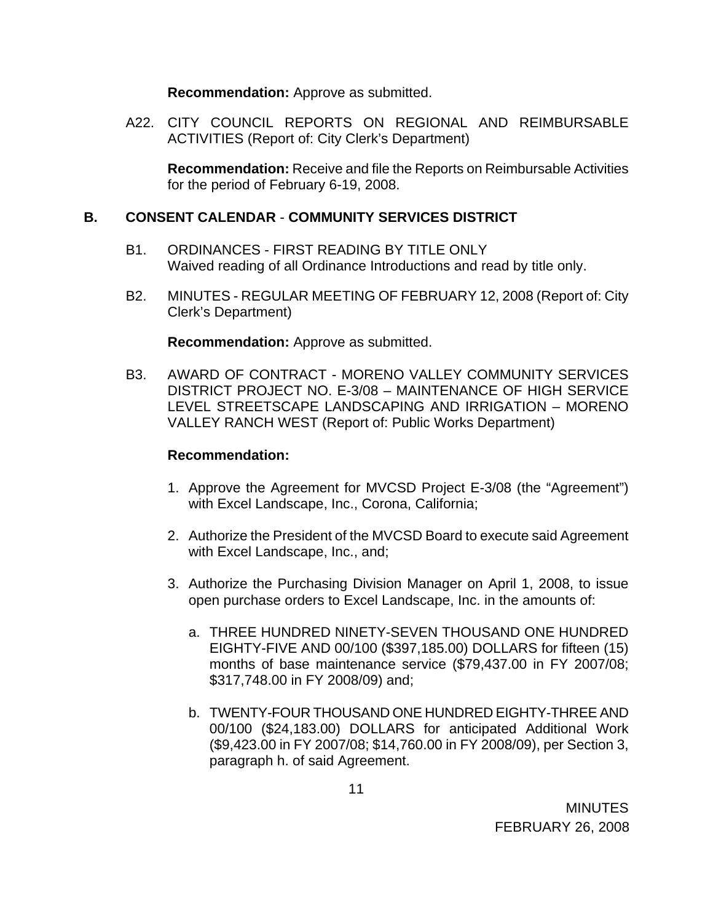**Recommendation:** Approve as submitted.

A22. CITY COUNCIL REPORTS ON REGIONAL AND REIMBURSABLE ACTIVITIES (Report of: City Clerk's Department)

**Recommendation:** Receive and file the Reports on Reimbursable Activities for the period of February 6-19, 2008.

### **B. CONSENT CALENDAR** - **COMMUNITY SERVICES DISTRICT**

- B1. ORDINANCES FIRST READING BY TITLE ONLY Waived reading of all Ordinance Introductions and read by title only.
- B2. MINUTES REGULAR MEETING OF FEBRUARY 12, 2008 (Report of: City Clerk's Department)

**Recommendation:** Approve as submitted.

B3. AWARD OF CONTRACT - MORENO VALLEY COMMUNITY SERVICES DISTRICT PROJECT NO. E-3/08 – MAINTENANCE OF HIGH SERVICE LEVEL STREETSCAPE LANDSCAPING AND IRRIGATION – MORENO VALLEY RANCH WEST (Report of: Public Works Department)

- 1. Approve the Agreement for MVCSD Project E-3/08 (the "Agreement") with Excel Landscape, Inc., Corona, California;
- 2. Authorize the President of the MVCSD Board to execute said Agreement with Excel Landscape, Inc., and;
- 3. Authorize the Purchasing Division Manager on April 1, 2008, to issue open purchase orders to Excel Landscape, Inc. in the amounts of:
	- a. THREE HUNDRED NINETY-SEVEN THOUSAND ONE HUNDRED EIGHTY-FIVE AND 00/100 (\$397,185.00) DOLLARS for fifteen (15) months of base maintenance service (\$79,437.00 in FY 2007/08; \$317,748.00 in FY 2008/09) and;
	- b. TWENTY-FOUR THOUSAND ONE HUNDRED EIGHTY-THREE AND 00/100 (\$24,183.00) DOLLARS for anticipated Additional Work (\$9,423.00 in FY 2007/08; \$14,760.00 in FY 2008/09), per Section 3, paragraph h. of said Agreement.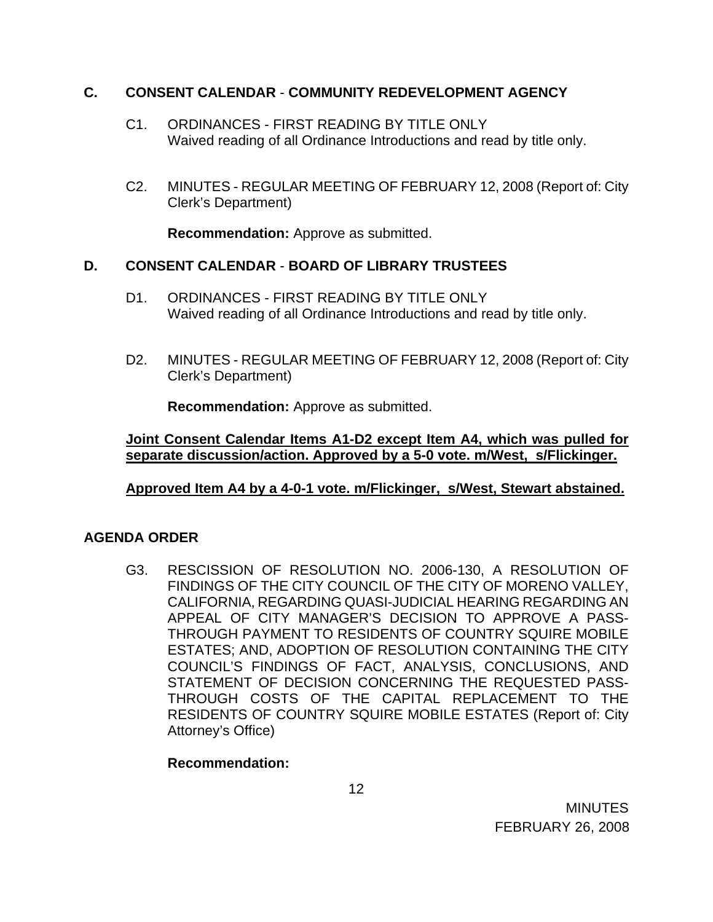### **C. CONSENT CALENDAR** - **COMMUNITY REDEVELOPMENT AGENCY**

- C1. ORDINANCES FIRST READING BY TITLE ONLY Waived reading of all Ordinance Introductions and read by title only.
- C2. MINUTES REGULAR MEETING OF FEBRUARY 12, 2008 (Report of: City Clerk's Department)

**Recommendation:** Approve as submitted.

## **D. CONSENT CALENDAR** - **BOARD OF LIBRARY TRUSTEES**

- D1. ORDINANCES FIRST READING BY TITLE ONLY Waived reading of all Ordinance Introductions and read by title only.
- D2. MINUTES REGULAR MEETING OF FEBRUARY 12, 2008 (Report of: City Clerk's Department)

**Recommendation:** Approve as submitted.

**Joint Consent Calendar Items A1-D2 except Item A4, which was pulled for separate discussion/action. Approved by a 5-0 vote. m/West, s/Flickinger.**

### **Approved Item A4 by a 4-0-1 vote. m/Flickinger, s/West, Stewart abstained.**

## **AGENDA ORDER**

G3. RESCISSION OF RESOLUTION NO. 2006-130, A RESOLUTION OF FINDINGS OF THE CITY COUNCIL OF THE CITY OF MORENO VALLEY, CALIFORNIA, REGARDING QUASI-JUDICIAL HEARING REGARDING AN APPEAL OF CITY MANAGER'S DECISION TO APPROVE A PASS-THROUGH PAYMENT TO RESIDENTS OF COUNTRY SQUIRE MOBILE ESTATES; AND, ADOPTION OF RESOLUTION CONTAINING THE CITY COUNCIL'S FINDINGS OF FACT, ANALYSIS, CONCLUSIONS, AND STATEMENT OF DECISION CONCERNING THE REQUESTED PASS-THROUGH COSTS OF THE CAPITAL REPLACEMENT TO THE RESIDENTS OF COUNTRY SQUIRE MOBILE ESTATES (Report of: City Attorney's Office)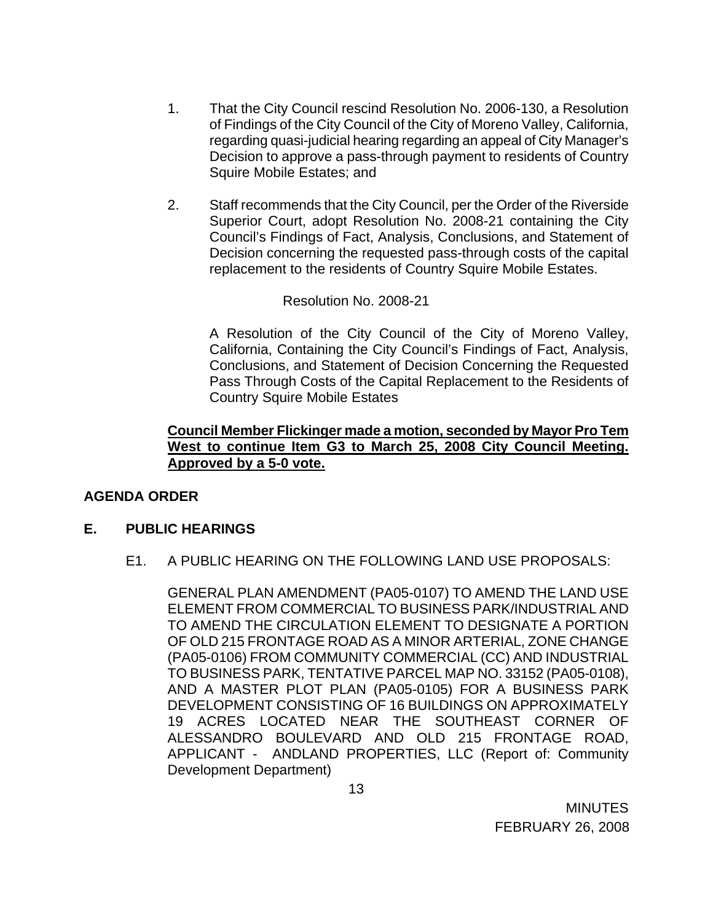- 1. That the City Council rescind Resolution No. 2006-130, a Resolution of Findings of the City Council of the City of Moreno Valley, California, regarding quasi-judicial hearing regarding an appeal of City Manager's Decision to approve a pass-through payment to residents of Country Squire Mobile Estates; and
- 2. Staff recommends that the City Council, per the Order of the Riverside Superior Court, adopt Resolution No. 2008-21 containing the City Council's Findings of Fact, Analysis, Conclusions, and Statement of Decision concerning the requested pass-through costs of the capital replacement to the residents of Country Squire Mobile Estates.

### Resolution No. 2008-21

A Resolution of the City Council of the City of Moreno Valley, California, Containing the City Council's Findings of Fact, Analysis, Conclusions, and Statement of Decision Concerning the Requested Pass Through Costs of the Capital Replacement to the Residents of Country Squire Mobile Estates

### **Council Member Flickinger made a motion, seconded by Mayor Pro Tem West to continue Item G3 to March 25, 2008 City Council Meeting. Approved by a 5-0 vote.**

### **AGENDA ORDER**

#### **E. PUBLIC HEARINGS**

E1. A PUBLIC HEARING ON THE FOLLOWING LAND USE PROPOSALS:

 GENERAL PLAN AMENDMENT (PA05-0107) TO AMEND THE LAND USE ELEMENT FROM COMMERCIAL TO BUSINESS PARK/INDUSTRIAL AND TO AMEND THE CIRCULATION ELEMENT TO DESIGNATE A PORTION OF OLD 215 FRONTAGE ROAD AS A MINOR ARTERIAL, ZONE CHANGE (PA05-0106) FROM COMMUNITY COMMERCIAL (CC) AND INDUSTRIAL TO BUSINESS PARK, TENTATIVE PARCEL MAP NO. 33152 (PA05-0108), AND A MASTER PLOT PLAN (PA05-0105) FOR A BUSINESS PARK DEVELOPMENT CONSISTING OF 16 BUILDINGS ON APPROXIMATELY 19 ACRES LOCATED NEAR THE SOUTHEAST CORNER OF ALESSANDRO BOULEVARD AND OLD 215 FRONTAGE ROAD, APPLICANT - ANDLAND PROPERTIES, LLC (Report of: Community Development Department)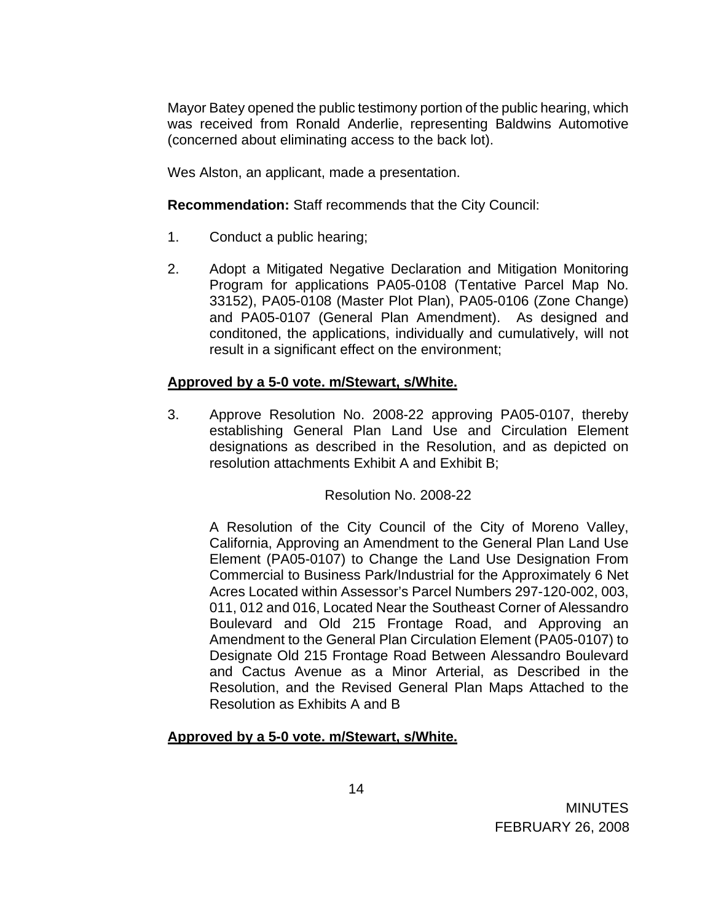Mayor Batey opened the public testimony portion of the public hearing, which was received from Ronald Anderlie, representing Baldwins Automotive (concerned about eliminating access to the back lot).

Wes Alston, an applicant, made a presentation.

**Recommendation:** Staff recommends that the City Council:

- 1. Conduct a public hearing;
- 2. Adopt a Mitigated Negative Declaration and Mitigation Monitoring Program for applications PA05-0108 (Tentative Parcel Map No. 33152), PA05-0108 (Master Plot Plan), PA05-0106 (Zone Change) and PA05-0107 (General Plan Amendment). As designed and conditoned, the applications, individually and cumulatively, will not result in a significant effect on the environment;

# **Approved by a 5-0 vote. m/Stewart, s/White.**

3. Approve Resolution No. 2008-22 approving PA05-0107, thereby establishing General Plan Land Use and Circulation Element designations as described in the Resolution, and as depicted on resolution attachments Exhibit A and Exhibit B;

## Resolution No. 2008-22

A Resolution of the City Council of the City of Moreno Valley, California, Approving an Amendment to the General Plan Land Use Element (PA05-0107) to Change the Land Use Designation From Commercial to Business Park/Industrial for the Approximately 6 Net Acres Located within Assessor's Parcel Numbers 297-120-002, 003, 011, 012 and 016, Located Near the Southeast Corner of Alessandro Boulevard and Old 215 Frontage Road, and Approving an Amendment to the General Plan Circulation Element (PA05-0107) to Designate Old 215 Frontage Road Between Alessandro Boulevard and Cactus Avenue as a Minor Arterial, as Described in the Resolution, and the Revised General Plan Maps Attached to the Resolution as Exhibits A and B

## **Approved by a 5-0 vote. m/Stewart, s/White.**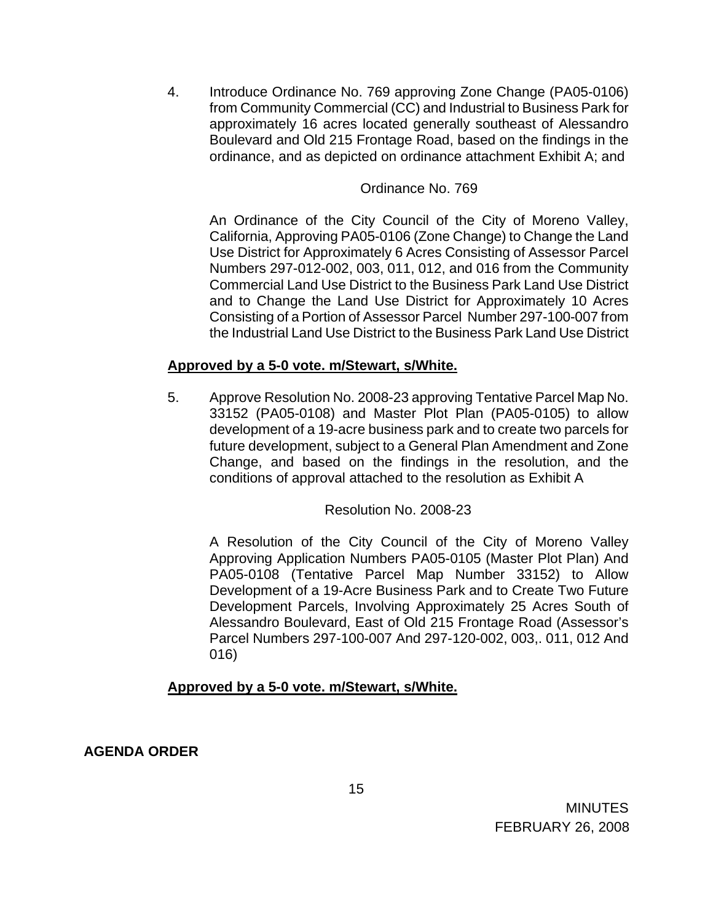4. Introduce Ordinance No. 769 approving Zone Change (PA05-0106) from Community Commercial (CC) and Industrial to Business Park for approximately 16 acres located generally southeast of Alessandro Boulevard and Old 215 Frontage Road, based on the findings in the ordinance, and as depicted on ordinance attachment Exhibit A; and

### Ordinance No. 769

An Ordinance of the City Council of the City of Moreno Valley, California, Approving PA05-0106 (Zone Change) to Change the Land Use District for Approximately 6 Acres Consisting of Assessor Parcel Numbers 297-012-002, 003, 011, 012, and 016 from the Community Commercial Land Use District to the Business Park Land Use District and to Change the Land Use District for Approximately 10 Acres Consisting of a Portion of Assessor Parcel Number 297-100-007 from the Industrial Land Use District to the Business Park Land Use District

### **Approved by a 5-0 vote. m/Stewart, s/White.**

5. Approve Resolution No. 2008-23 approving Tentative Parcel Map No. 33152 (PA05-0108) and Master Plot Plan (PA05-0105) to allow development of a 19-acre business park and to create two parcels for future development, subject to a General Plan Amendment and Zone Change, and based on the findings in the resolution, and the conditions of approval attached to the resolution as Exhibit A

### Resolution No. 2008-23

A Resolution of the City Council of the City of Moreno Valley Approving Application Numbers PA05-0105 (Master Plot Plan) And PA05-0108 (Tentative Parcel Map Number 33152) to Allow Development of a 19-Acre Business Park and to Create Two Future Development Parcels, Involving Approximately 25 Acres South of Alessandro Boulevard, East of Old 215 Frontage Road (Assessor's Parcel Numbers 297-100-007 And 297-120-002, 003,. 011, 012 And 016)

### **Approved by a 5-0 vote. m/Stewart, s/White.**

**AGENDA ORDER**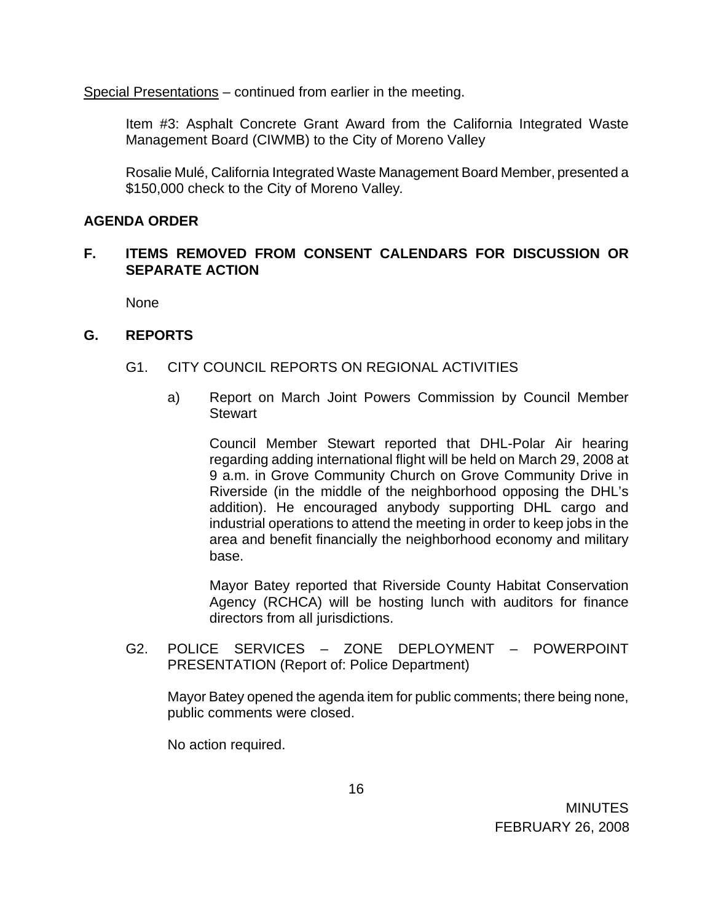Special Presentations – continued from earlier in the meeting.

Item #3: Asphalt Concrete Grant Award from the California Integrated Waste Management Board (CIWMB) to the City of Moreno Valley

Rosalie Mulé, California Integrated Waste Management Board Member, presented a \$150,000 check to the City of Moreno Valley*.*

### **AGENDA ORDER**

### **F. ITEMS REMOVED FROM CONSENT CALENDARS FOR DISCUSSION OR SEPARATE ACTION**

None

### **G. REPORTS**

### G1. CITY COUNCIL REPORTS ON REGIONAL ACTIVITIES

a) Report on March Joint Powers Commission by Council Member **Stewart** 

 Council Member Stewart reported that DHL-Polar Air hearing regarding adding international flight will be held on March 29, 2008 at 9 a.m. in Grove Community Church on Grove Community Drive in Riverside (in the middle of the neighborhood opposing the DHL's addition). He encouraged anybody supporting DHL cargo and industrial operations to attend the meeting in order to keep jobs in the area and benefit financially the neighborhood economy and military base.

 Mayor Batey reported that Riverside County Habitat Conservation Agency (RCHCA) will be hosting lunch with auditors for finance directors from all jurisdictions.

G2. POLICE SERVICES – ZONE DEPLOYMENT – POWERPOINT PRESENTATION (Report of: Police Department)

Mayor Batey opened the agenda item for public comments; there being none, public comments were closed.

No action required.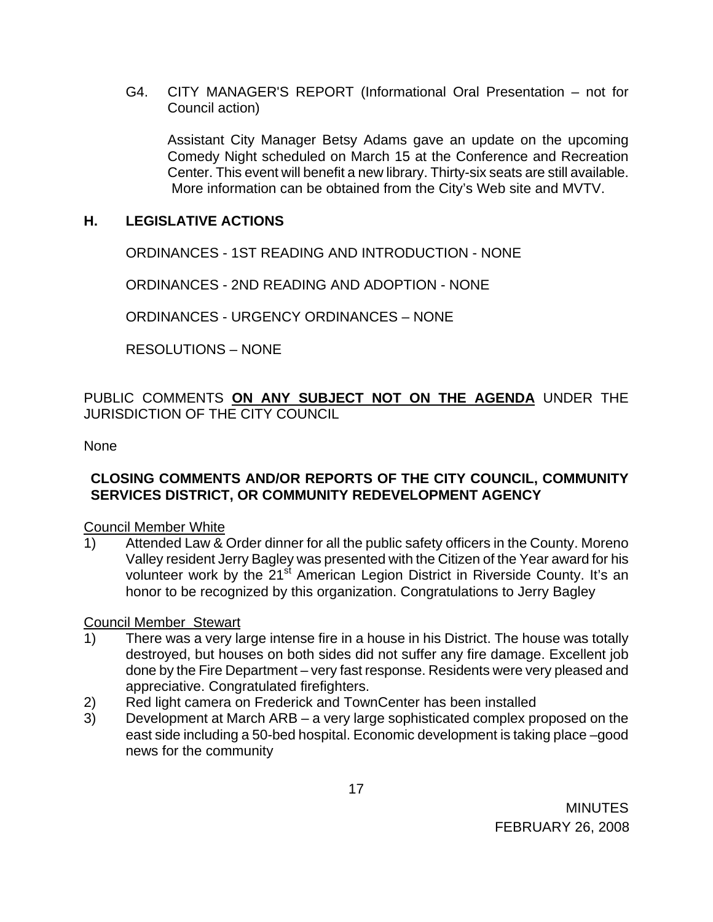G4. CITY MANAGER'S REPORT (Informational Oral Presentation – not for Council action)

 Assistant City Manager Betsy Adams gave an update on the upcoming Comedy Night scheduled on March 15 at the Conference and Recreation Center. This event will benefit a new library. Thirty-six seats are still available. More information can be obtained from the City's Web site and MVTV.

### **H. LEGISLATIVE ACTIONS**

ORDINANCES - 1ST READING AND INTRODUCTION - NONE

ORDINANCES - 2ND READING AND ADOPTION - NONE

ORDINANCES - URGENCY ORDINANCES – NONE

RESOLUTIONS – NONE

PUBLIC COMMENTS **ON ANY SUBJECT NOT ON THE AGENDA** UNDER THE JURISDICTION OF THE CITY COUNCIL

#### None

### **CLOSING COMMENTS AND/OR REPORTS OF THE CITY COUNCIL, COMMUNITY SERVICES DISTRICT, OR COMMUNITY REDEVELOPMENT AGENCY**

Council Member White

1) Attended Law & Order dinner for all the public safety officers in the County. Moreno Valley resident Jerry Bagley was presented with the Citizen of the Year award for his volunteer work by the 21<sup>st</sup> American Legion District in Riverside County. It's an honor to be recognized by this organization. Congratulations to Jerry Bagley

#### Council Member Stewart

- 1) There was a very large intense fire in a house in his District. The house was totally destroyed, but houses on both sides did not suffer any fire damage. Excellent job done by the Fire Department – very fast response. Residents were very pleased and appreciative. Congratulated firefighters.
- 2) Red light camera on Frederick and TownCenter has been installed
- 3) Development at March ARB a very large sophisticated complex proposed on the east side including a 50-bed hospital. Economic development is taking place –good news for the community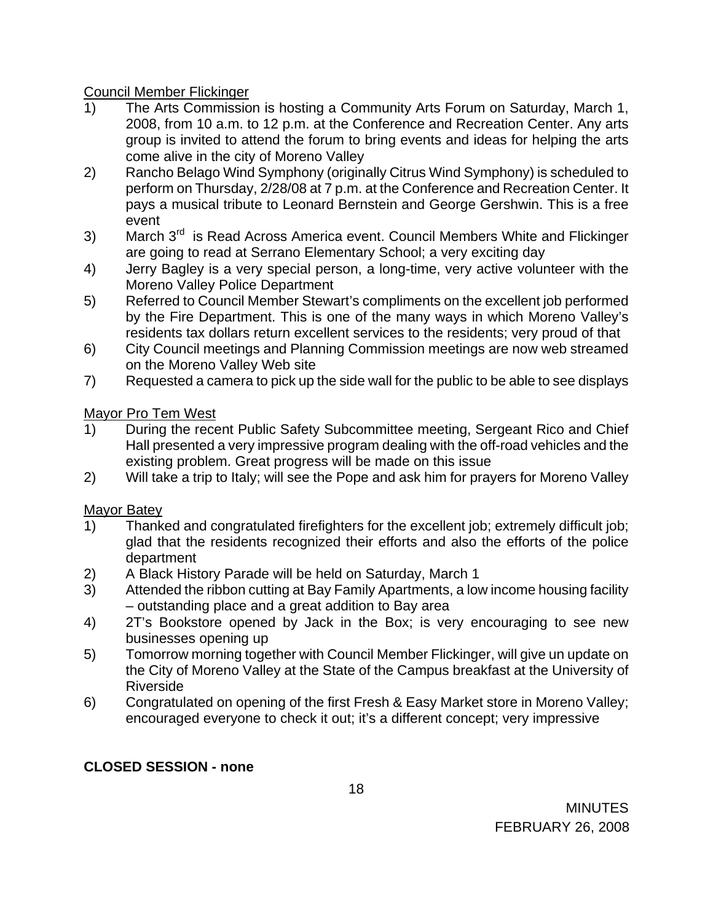Council Member Flickinger

- 1) The Arts Commission is hosting a Community Arts Forum on Saturday, March 1, 2008, from 10 a.m. to 12 p.m. at the Conference and Recreation Center. Any arts group is invited to attend the forum to bring events and ideas for helping the arts come alive in the city of Moreno Valley
- 2) Rancho Belago Wind Symphony (originally Citrus Wind Symphony) is scheduled to perform on Thursday, 2/28/08 at 7 p.m. at the Conference and Recreation Center. It pays a musical tribute to Leonard Bernstein and George Gershwin. This is a free event
- 3) March  $3<sup>rd</sup>$  is Read Across America event. Council Members White and Flickinger are going to read at Serrano Elementary School; a very exciting day
- 4) Jerry Bagley is a very special person, a long-time, very active volunteer with the Moreno Valley Police Department
- 5) Referred to Council Member Stewart's compliments on the excellent job performed by the Fire Department. This is one of the many ways in which Moreno Valley's residents tax dollars return excellent services to the residents; very proud of that
- 6) City Council meetings and Planning Commission meetings are now web streamed on the Moreno Valley Web site
- 7) Requested a camera to pick up the side wall for the public to be able to see displays

# Mayor Pro Tem West

- 1) During the recent Public Safety Subcommittee meeting, Sergeant Rico and Chief Hall presented a very impressive program dealing with the off-road vehicles and the existing problem. Great progress will be made on this issue
- 2) Will take a trip to Italy; will see the Pope and ask him for prayers for Moreno Valley

# Mayor Batey

- 1) Thanked and congratulated firefighters for the excellent job; extremely difficult job; glad that the residents recognized their efforts and also the efforts of the police department
- 2) A Black History Parade will be held on Saturday, March 1
- 3) Attended the ribbon cutting at Bay Family Apartments, a low income housing facility – outstanding place and a great addition to Bay area
- 4) 2T's Bookstore opened by Jack in the Box; is very encouraging to see new businesses opening up
- 5) Tomorrow morning together with Council Member Flickinger, will give un update on the City of Moreno Valley at the State of the Campus breakfast at the University of Riverside
- 6) Congratulated on opening of the first Fresh & Easy Market store in Moreno Valley; encouraged everyone to check it out; it's a different concept; very impressive

# **CLOSED SESSION - none**